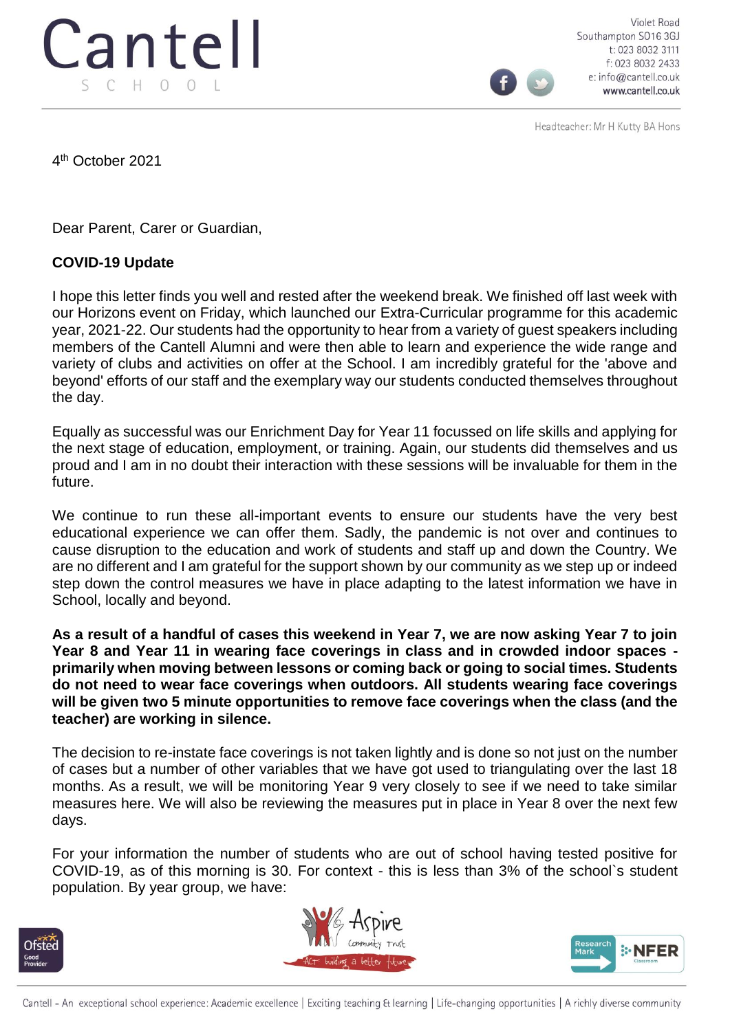

Violet Road Southampton SO16 3GJ t: 023 8032 3111 f: 023 8032 2433 e: info@cantell.co.uk www.cantell.co.uk

Headteacher: Mr H Kutty BA Hons

4 th October 2021

Dear Parent, Carer or Guardian,

## **COVID-19 Update**

I hope this letter finds you well and rested after the weekend break. We finished off last week with our Horizons event on Friday, which launched our Extra-Curricular programme for this academic year, 2021-22. Our students had the opportunity to hear from a variety of guest speakers including members of the Cantell Alumni and were then able to learn and experience the wide range and variety of clubs and activities on offer at the School. I am incredibly grateful for the 'above and beyond' efforts of our staff and the exemplary way our students conducted themselves throughout the day.

Equally as successful was our Enrichment Day for Year 11 focussed on life skills and applying for the next stage of education, employment, or training. Again, our students did themselves and us proud and I am in no doubt their interaction with these sessions will be invaluable for them in the future.

We continue to run these all-important events to ensure our students have the very best educational experience we can offer them. Sadly, the pandemic is not over and continues to cause disruption to the education and work of students and staff up and down the Country. We are no different and I am grateful for the support shown by our community as we step up or indeed step down the control measures we have in place adapting to the latest information we have in School, locally and beyond.

**As a result of a handful of cases this weekend in Year 7, we are now asking Year 7 to join Year 8 and Year 11 in wearing face coverings in class and in crowded indoor spaces primarily when moving between lessons or coming back or going to social times. Students do not need to wear face coverings when outdoors. All students wearing face coverings will be given two 5 minute opportunities to remove face coverings when the class (and the teacher) are working in silence.**

The decision to re-instate face coverings is not taken lightly and is done so not just on the number of cases but a number of other variables that we have got used to triangulating over the last 18 months. As a result, we will be monitoring Year 9 very closely to see if we need to take similar measures here. We will also be reviewing the measures put in place in Year 8 over the next few days.

For your information the number of students who are out of school having tested positive for COVID-19, as of this morning is 30. For context - this is less than 3% of the school`s student population. By year group, we have: